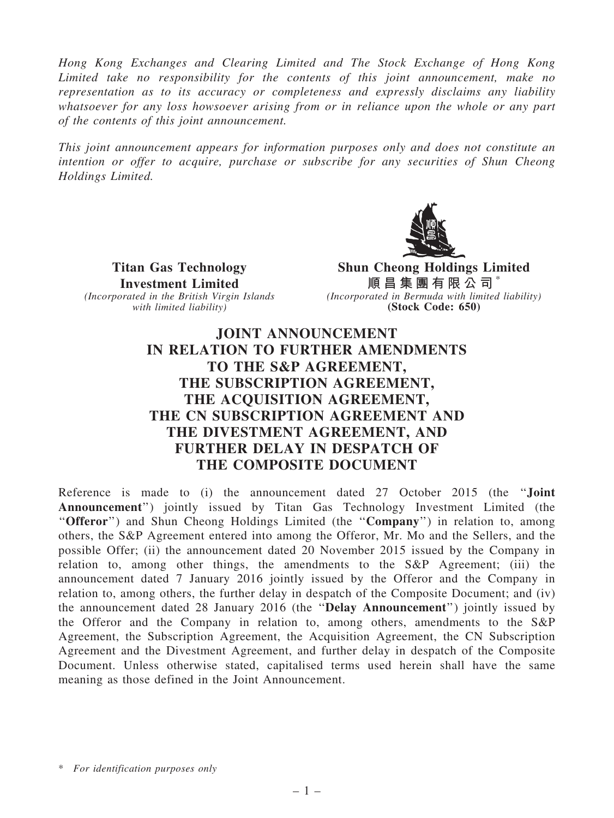Hong Kong Exchanges and Clearing Limited and The Stock Exchange of Hong Kong Limited take no responsibility for the contents of this joint announcement, make no representation as to its accuracy or completeness and expressly disclaims any liability whatsoever for any loss howsoever arising from or in reliance upon the whole or any part of the contents of this joint announcement.

This joint announcement appears for information purposes only and does not constitute an intention or offer to acquire, purchase or subscribe for any securities of Shun Cheong Holdings Limited.



Titan Gas Technology Investment Limited (Incorporated in the British Virgin Islands with limited liability)

Shun Cheong Holdings Limited 順 昌 集 團 有 限 公 司  $^{\circ}$ (Incorporated in Bermuda with limited liability) (Stock Code: 650)

## JOINT ANNOUNCEMENT IN RELATION TO FURTHER AMENDMENTS TO THE S&P AGREEMENT, THE SUBSCRIPTION AGREEMENT, THE ACOUISITION AGREEMENT, THE CN SUBSCRIPTION AGREEMENT AND THE DIVESTMENT AGREEMENT, AND FURTHER DELAY IN DESPATCH OF THE COMPOSITE DOCUMENT

Reference is made to (i) the announcement dated 27 October 2015 (the ''Joint Announcement'') jointly issued by Titan Gas Technology Investment Limited (the "Offeror") and Shun Cheong Holdings Limited (the "Company") in relation to, among others, the S&P Agreement entered into among the Offeror, Mr. Mo and the Sellers, and the possible Offer; (ii) the announcement dated 20 November 2015 issued by the Company in relation to, among other things, the amendments to the S&P Agreement; (iii) the announcement dated 7 January 2016 jointly issued by the Offeror and the Company in relation to, among others, the further delay in despatch of the Composite Document; and (iv) the announcement dated 28 January 2016 (the ''Delay Announcement'') jointly issued by the Offeror and the Company in relation to, among others, amendments to the S&P Agreement, the Subscription Agreement, the Acquisition Agreement, the CN Subscription Agreement and the Divestment Agreement, and further delay in despatch of the Composite Document. Unless otherwise stated, capitalised terms used herein shall have the same meaning as those defined in the Joint Announcement.

<sup>\*</sup> For identification purposes only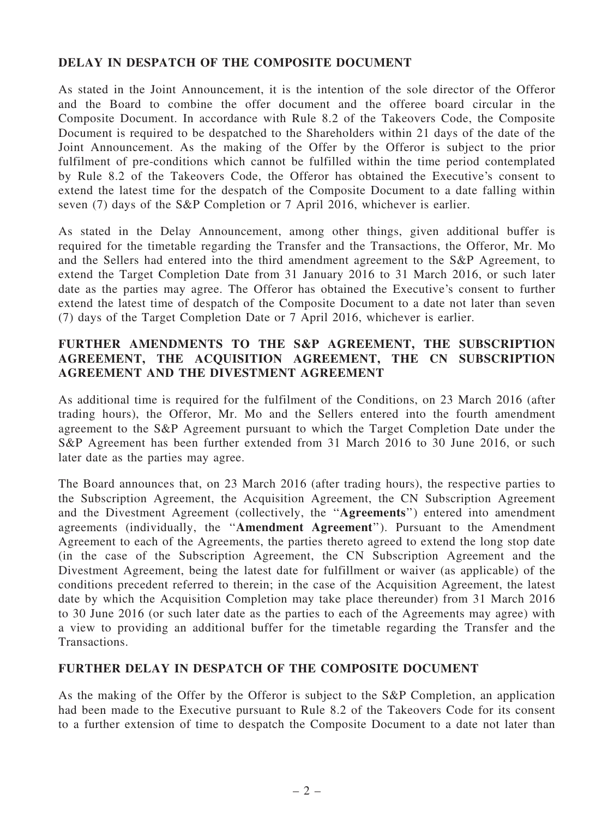## DELAY IN DESPATCH OF THE COMPOSITE DOCUMENT

As stated in the Joint Announcement, it is the intention of the sole director of the Offeror and the Board to combine the offer document and the offeree board circular in the Composite Document. In accordance with Rule 8.2 of the Takeovers Code, the Composite Document is required to be despatched to the Shareholders within 21 days of the date of the Joint Announcement. As the making of the Offer by the Offeror is subject to the prior fulfilment of pre-conditions which cannot be fulfilled within the time period contemplated by Rule 8.2 of the Takeovers Code, the Offeror has obtained the Executive's consent to extend the latest time for the despatch of the Composite Document to a date falling within seven (7) days of the S&P Completion or 7 April 2016, whichever is earlier.

As stated in the Delay Announcement, among other things, given additional buffer is required for the timetable regarding the Transfer and the Transactions, the Offeror, Mr. Mo and the Sellers had entered into the third amendment agreement to the S&P Agreement, to extend the Target Completion Date from 31 January 2016 to 31 March 2016, or such later date as the parties may agree. The Offeror has obtained the Executive's consent to further extend the latest time of despatch of the Composite Document to a date not later than seven (7) days of the Target Completion Date or 7 April 2016, whichever is earlier.

## FURTHER AMENDMENTS TO THE S&P AGREEMENT, THE SUBSCRIPTION AGREEMENT, THE ACQUISITION AGREEMENT, THE CN SUBSCRIPTION AGREEMENT AND THE DIVESTMENT AGREEMENT

As additional time is required for the fulfilment of the Conditions, on 23 March 2016 (after trading hours), the Offeror, Mr. Mo and the Sellers entered into the fourth amendment agreement to the S&P Agreement pursuant to which the Target Completion Date under the S&P Agreement has been further extended from 31 March 2016 to 30 June 2016, or such later date as the parties may agree.

The Board announces that, on 23 March 2016 (after trading hours), the respective parties to the Subscription Agreement, the Acquisition Agreement, the CN Subscription Agreement and the Divestment Agreement (collectively, the ''Agreements'') entered into amendment agreements (individually, the ''Amendment Agreement''). Pursuant to the Amendment Agreement to each of the Agreements, the parties thereto agreed to extend the long stop date (in the case of the Subscription Agreement, the CN Subscription Agreement and the Divestment Agreement, being the latest date for fulfillment or waiver (as applicable) of the conditions precedent referred to therein; in the case of the Acquisition Agreement, the latest date by which the Acquisition Completion may take place thereunder) from 31 March 2016 to 30 June 2016 (or such later date as the parties to each of the Agreements may agree) with a view to providing an additional buffer for the timetable regarding the Transfer and the Transactions.

## FURTHER DELAY IN DESPATCH OF THE COMPOSITE DOCUMENT

As the making of the Offer by the Offeror is subject to the S&P Completion, an application had been made to the Executive pursuant to Rule 8.2 of the Takeovers Code for its consent to a further extension of time to despatch the Composite Document to a date not later than